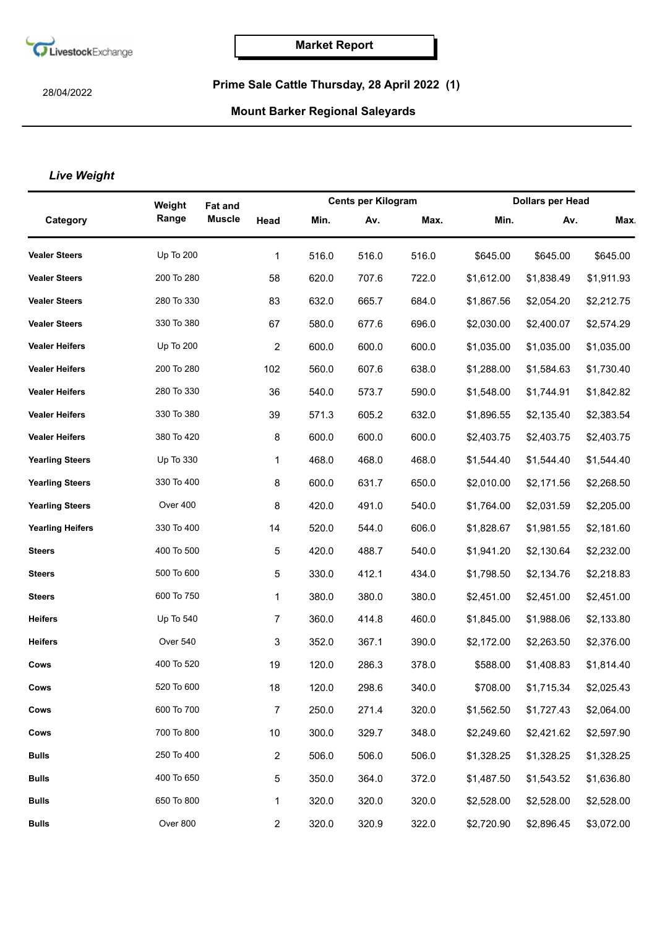

28/04/2022

## **Prime Sale Cattle Thursday, 28 April 2022 (1)**

## **Mount Barker Regional Saleyards**

## *Live Weight*

|                         | Weight           | <b>Fat and</b>        |                         | <b>Cents per Kilogram</b> |       | <b>Dollars per Head</b> |            |            |
|-------------------------|------------------|-----------------------|-------------------------|---------------------------|-------|-------------------------|------------|------------|
| Category                | Range            | <b>Muscle</b><br>Head | Min.                    | Av.                       | Max.  | Min.                    | Av.        | <b>Max</b> |
| <b>Vealer Steers</b>    | <b>Up To 200</b> |                       | 516.0<br>1              | 516.0                     | 516.0 | \$645.00                | \$645.00   | \$645.00   |
| <b>Vealer Steers</b>    | 200 To 280       | 58                    | 620.0                   | 707.6                     | 722.0 | \$1,612.00              | \$1,838.49 | \$1,911.93 |
| <b>Vealer Steers</b>    | 280 To 330       | 83                    | 632.0                   | 665.7                     | 684.0 | \$1,867.56              | \$2,054.20 | \$2,212.75 |
| <b>Vealer Steers</b>    | 330 To 380       | 67                    | 580.0                   | 677.6                     | 696.0 | \$2,030.00              | \$2,400.07 | \$2,574.29 |
| <b>Vealer Heifers</b>   | Up To 200        |                       | $\overline{c}$<br>600.0 | 600.0                     | 600.0 | \$1,035.00              | \$1,035.00 | \$1,035.00 |
| <b>Vealer Heifers</b>   | 200 To 280       | 102                   | 560.0                   | 607.6                     | 638.0 | \$1,288.00              | \$1,584.63 | \$1,730.40 |
| <b>Vealer Heifers</b>   | 280 To 330       | 36                    | 540.0                   | 573.7                     | 590.0 | \$1,548.00              | \$1,744.91 | \$1,842.82 |
| <b>Vealer Heifers</b>   | 330 To 380       | 39                    | 571.3                   | 605.2                     | 632.0 | \$1,896.55              | \$2,135.40 | \$2,383.54 |
| <b>Vealer Heifers</b>   | 380 To 420       |                       | 8<br>600.0              | 600.0                     | 600.0 | \$2,403.75              | \$2,403.75 | \$2,403.75 |
| <b>Yearling Steers</b>  | Up To 330        |                       | 468.0<br>1              | 468.0                     | 468.0 | \$1,544.40              | \$1,544.40 | \$1,544.40 |
| <b>Yearling Steers</b>  | 330 To 400       |                       | 600.0<br>8              | 631.7                     | 650.0 | \$2,010.00              | \$2,171.56 | \$2,268.50 |
| <b>Yearling Steers</b>  | Over 400         |                       | 8<br>420.0              | 491.0                     | 540.0 | \$1,764.00              | \$2,031.59 | \$2,205.00 |
| <b>Yearling Heifers</b> | 330 To 400       | 14                    | 520.0                   | 544.0                     | 606.0 | \$1,828.67              | \$1,981.55 | \$2,181.60 |
| <b>Steers</b>           | 400 To 500       |                       | 420.0<br>5              | 488.7                     | 540.0 | \$1,941.20              | \$2,130.64 | \$2,232.00 |
| <b>Steers</b>           | 500 To 600       |                       | 330.0<br>5              | 412.1                     | 434.0 | \$1,798.50              | \$2,134.76 | \$2,218.83 |
| <b>Steers</b>           | 600 To 750       |                       | 380.0<br>1              | 380.0                     | 380.0 | \$2,451.00              | \$2,451.00 | \$2,451.00 |
| <b>Heifers</b>          | Up To 540        |                       | $\overline{7}$<br>360.0 | 414.8                     | 460.0 | \$1,845.00              | \$1,988.06 | \$2,133.80 |
| <b>Heifers</b>          | Over 540         |                       | 352.0<br>3              | 367.1                     | 390.0 | \$2,172.00              | \$2,263.50 | \$2,376.00 |
| Cows                    | 400 To 520       | 19                    | 120.0                   | 286.3                     | 378.0 | \$588.00                | \$1,408.83 | \$1,814.40 |
| Cows                    | 520 To 600       | 18                    | 120.0                   | 298.6                     | 340.0 | \$708.00                | \$1,715.34 | \$2,025.43 |
| Cows                    | 600 To 700       |                       | $\overline{7}$<br>250.0 | 271.4                     | 320.0 | \$1,562.50              | \$1,727.43 | \$2,064.00 |
| Cows                    | 700 To 800       | 10                    | 300.0                   | 329.7                     | 348.0 | \$2,249.60              | \$2,421.62 | \$2,597.90 |
| <b>Bulls</b>            | 250 To 400       |                       | $\overline{c}$<br>506.0 | 506.0                     | 506.0 | \$1,328.25              | \$1,328.25 | \$1,328.25 |
| <b>Bulls</b>            | 400 To 650       |                       | 5<br>350.0              | 364.0                     | 372.0 | \$1,487.50              | \$1,543.52 | \$1,636.80 |
| <b>Bulls</b>            | 650 To 800       |                       | 320.0<br>1              | 320.0                     | 320.0 | \$2,528.00              | \$2,528.00 | \$2,528.00 |
| Bulls                   | Over 800         |                       | 320.0<br>$\overline{c}$ | 320.9                     | 322.0 | \$2,720.90              | \$2,896.45 | \$3,072.00 |